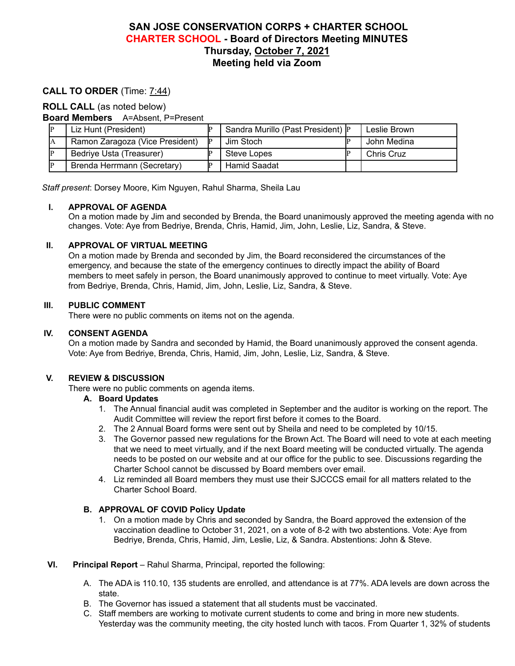# **SAN JOSE CONSERVATION CORPS + CHARTER SCHOOL CHARTER SCHOOL - Board of Directors Meeting MINUTES Thursday, October 7, 2021 Meeting held via Zoom**

# **CALL TO ORDER** (Time: 7:44)

### **ROLL CALL** (as noted below)

**Board Members** A=Absent, P=Present

| Liz Hunt (President)            |    | Sandra Murillo (Past President) P | Leslie Brown      |
|---------------------------------|----|-----------------------------------|-------------------|
| Ramon Zaragoza (Vice President) | IP | Jim Stoch                         | John Medina       |
| Bedriye Usta (Treasurer)        |    | <b>Steve Lopes</b>                | <b>Chris Cruz</b> |
| Brenda Herrmann (Secretary)     |    | <b>Hamid Saadat</b>               |                   |

*Staff present*: Dorsey Moore, Kim Nguyen, Rahul Sharma, Sheila Lau

### **I. APPROVAL OF AGENDA**

On a motion made by Jim and seconded by Brenda, the Board unanimously approved the meeting agenda with no changes. Vote: Aye from Bedriye, Brenda, Chris, Hamid, Jim, John, Leslie, Liz, Sandra, & Steve.

### **II. APPROVAL OF VIRTUAL MEETING**

On a motion made by Brenda and seconded by Jim, the Board reconsidered the circumstances of the emergency, and because the state of the emergency continues to directly impact the ability of Board members to meet safely in person, the Board unanimously approved to continue to meet virtually. Vote: Aye from Bedriye, Brenda, Chris, Hamid, Jim, John, Leslie, Liz, Sandra, & Steve.

## **III. PUBLIC COMMENT**

There were no public comments on items not on the agenda.

### **IV. CONSENT AGENDA**

On a motion made by Sandra and seconded by Hamid, the Board unanimously approved the consent agenda. Vote: Aye from Bedriye, Brenda, Chris, Hamid, Jim, John, Leslie, Liz, Sandra, & Steve.

### **V. REVIEW & DISCUSSION**

There were no public comments on agenda items.

#### **A. Board Updates**

- 1. The Annual financial audit was completed in September and the auditor is working on the report. The Audit Committee will review the report first before it comes to the Board.
- 2. The 2 Annual Board forms were sent out by Sheila and need to be completed by 10/15.
- 3. The Governor passed new regulations for the Brown Act. The Board will need to vote at each meeting that we need to meet virtually, and if the next Board meeting will be conducted virtually. The agenda needs to be posted on our website and at our office for the public to see. Discussions regarding the Charter School cannot be discussed by Board members over email.
- 4. Liz reminded all Board members they must use their SJCCCS email for all matters related to the Charter School Board.

## **B. APPROVAL OF COVID Policy Update**

1. On a motion made by Chris and seconded by Sandra, the Board approved the extension of the vaccination deadline to October 31, 2021, on a vote of 8-2 with two abstentions. Vote: Aye from Bedriye, Brenda, Chris, Hamid, Jim, Leslie, Liz, & Sandra. Abstentions: John & Steve.

### **VI. Principal Report** – Rahul Sharma, Principal, reported the following:

- A. The ADA is 110.10, 135 students are enrolled, and attendance is at 77%. ADA levels are down across the state.
- B. The Governor has issued a statement that all students must be vaccinated.
- C. Staff members are working to motivate current students to come and bring in more new students. Yesterday was the community meeting, the city hosted lunch with tacos. From Quarter 1, 32% of students